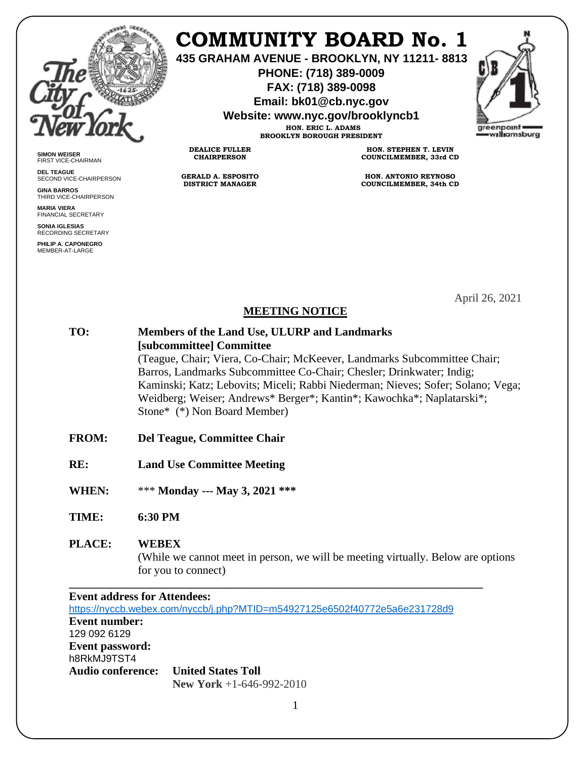

**SIMON WEISER** FIRST VICE-CHAIRMAN **DEL TEAGUE**

**GINA BARROS** THIRD VICE-CHAIRPERSON

**MARIA VIERA** FINANCIAL SECRETARY **SONIA IGLESIAS** RECORDING SECRETARY **PHILIP A. CAPONEGRO** MEMBER-AT-LARGE

SECOND VICE-CHAIRPERSON

# **COMMUNITY BOARD No. 1**

**435 GRAHAM AVENUE - BROOKLYN, NY 11211- 8813**

**PHONE: (718) 389-0009 FAX: (718) 389-0098**

**Email: bk01@cb.nyc.gov**

**Website: www.nyc.gov/brooklyncb1**

**HON. ERIC L. ADAMS BROOKLYN BOROUGH PRESIDENT**

**DEALICE FULLER CHAIRPERSON**

**GERALD A. ESPOSITO DISTRICT MANAGER**

**HON. STEPHEN T. LEVIN COUNCILMEMBER, 33rd CD**

**HON. ANTONIO REYNOSO COUNCILMEMBER, 34th CD**

April 26, 2021

### **MEETING NOTICE**

**TO: Members of the Land Use, ULURP and Landmarks [subcommittee] Committee** (Teague, Chair; Viera, Co-Chair; McKeever, Landmarks Subcommittee Chair; Barros, Landmarks Subcommittee Co-Chair; Chesler; Drinkwater; Indig; Kaminski; Katz; Lebovits; Miceli; Rabbi Niederman; Nieves; Sofer; Solano; Vega; Weidberg; Weiser; Andrews\* Berger\*; Kantin\*; Kawochka\*; Naplatarski\*; Stone\* (\*) Non Board Member)

- **FROM: Del Teague, Committee Chair**
- **RE: Land Use Committee Meeting**
- **WHEN:** \*\*\* **Monday --- May 3, 2021 \*\*\***

**TIME: 6:30 PM**

## **PLACE: WEBEX**

 (While we cannot meet in person, we will be meeting virtually. Below are options for you to connect)

### **Event address for Attendees:** <https://nyccb.webex.com/nyccb/j.php?MTID=m54927125e6502f40772e5a6e231728d9> **Event number:**  129 092 6129 **Event password:** h8RkMJ9TST4 **Audio conference: United States Toll New York** +1-646-992-2010

**\_\_\_\_\_\_\_\_\_\_\_\_\_\_\_\_\_\_\_\_\_\_\_\_\_\_\_\_\_\_\_\_\_\_\_\_\_\_\_\_\_\_\_\_\_\_\_\_\_\_\_\_\_\_\_\_\_\_\_\_\_\_\_\_\_\_\_\_\_\_\_\_**